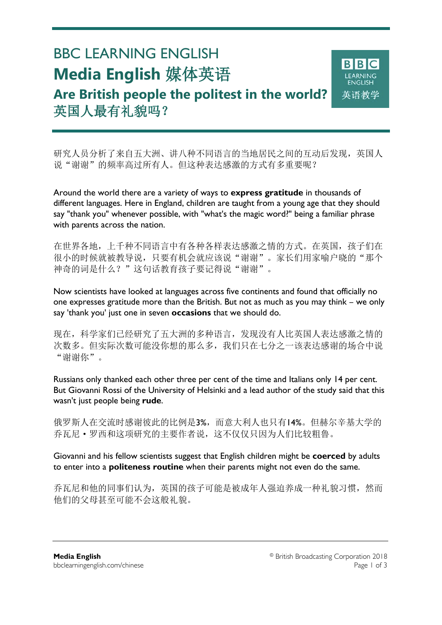## BBC LEARNING ENGLISH **Media English** 媒体英语 **Are British people the politest in the world?** 英国人最有礼貌吗?

**BIBIC** 革语教学

研究人员分析了来自五大洲、讲八种不同语言的当地居民之间的互动后发现,英国人 说"谢谢"的频率高过所有人。但这种表达感激的方式有多重要呢?

Around the world there are a variety of ways to **express gratitude** in thousands of different languages. Here in England, children are taught from a young age that they should say "thank you" whenever possible, with "what's the magic word?" being a familiar phrase with parents across the nation.

在世界各地,上千种不同语言中有各种各样表达感激之情的方式。在英国,孩子们在 很小的时候就被教导说,只要有机会就应该说"谢谢"。家长们用家喻户晓的"那个 神奇的词是什么?"这句话教育孩子要记得说"谢谢"。

Now scientists have looked at languages across five continents and found that officially no one expresses gratitude more than the British. But not as much as you may think – we only say 'thank you' just one in seven **occasions** that we should do.

现在,科学家们已经研究了五大洲的多种语言,发现没有人比英国人表达感激之情的 次数多。但实际次数可能没你想的那么多,我们只在七分之一该表达感谢的场合中说 "谢谢你"。

Russians only thanked each other three per cent of the time and Italians only 14 per cent. But Giovanni Rossi of the University of Helsinki and a lead author of the study said that this wasn't just people being **rude**.

俄罗斯人在交流时感谢彼此的比例是3%,而意大利人也只有14%。但赫尔辛基大学的 乔瓦尼·罗西和这项研究的主要作者说,这不仅仅只因为人们比较粗鲁。

Giovanni and his fellow scientists suggest that English children might be **coerced** by adults to enter into a **politeness routine** when their parents might not even do the same.

乔瓦尼和他的同事们认为,英国的孩子可能是被成年人强迫养成一种礼貌习惯,然而 他们的父母甚至可能不会这般礼貌。

Ξ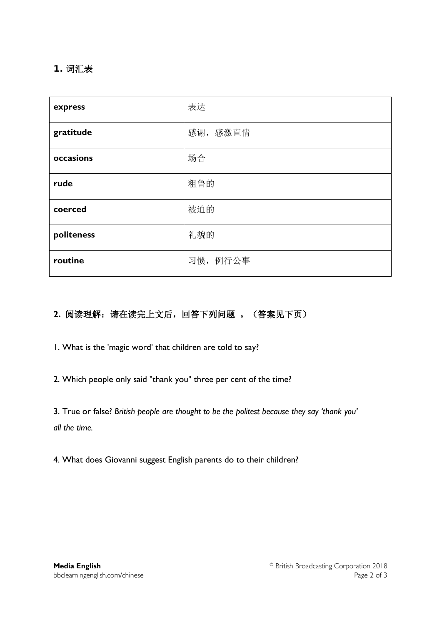## **1.** 词汇表

| express    | 表达       |
|------------|----------|
| gratitude  | 感谢,感激直情  |
| occasions  | 场合       |
| rude       | 粗鲁的      |
| coerced    | 被迫的      |
| politeness | 礼貌的      |
| routine    | 习惯, 例行公事 |

## **2.** 阅读理解:请在读完上文后,回答下列问题 。(答案见下页)

1. What is the 'magic word' that children are told to say?

2. Which people only said "thank you" three per cent of the time?

3. True or false? *British people are thought to be the politest because they say 'thank you' all the time.*

4. What does Giovanni suggest English parents do to their children?